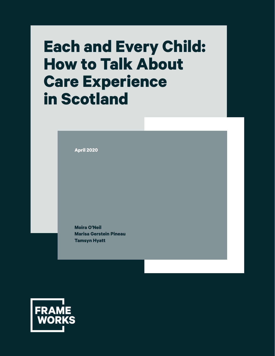# **Each and Every Child: How to Talk About Care Experience in Scotland**

**April 2020**

**Moira O'Neil Marisa Gerstein Pineau Tamsyn Hyatt**

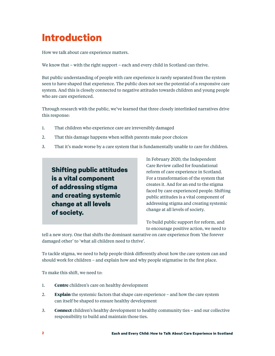## **Introduction**

How we talk about care experience matters.

We know that – with the right support – each and every child in Scotland can thrive.

But public understanding of people with care experience is rarely separated from the system seen to have shaped that experience. The public does not see the potential of a responsive care system. And this is closely connected to negative attitudes towards children and young people who are care experienced.

Through research with the public, we've learned that three closely interlinked narratives drive this response:

- 1. That children who experience care are irreversibly damaged
- 2. That this damage happens when selfish parents make poor choices
- 3. That it's made worse by a care system that is fundamentally unable to care for children.

**Shifting public attitudes is a vital component of addressing stigma and creating systemic change at all levels of society.**

In February 2020, the Independent Care Review called for foundational reform of care experience in Scotland. For a transformation of the system that creates it. And for an end to the stigma faced by care experienced people. Shifting public attitudes is a vital component of addressing stigma and creating systemic change at all levels of society.

To build public support for reform, and to encourage positive action, we need to

tell a new story. One that shifts the dominant narrative on care experience from 'the forever damaged other' to 'what all children need to thrive'.

To tackle stigma, we need to help people think differently about how the care system can and should work for children – and explain how and why people stigmatise in the first place.

To make this shift, we need to:

- 1. **Centre** children's care on healthy development
- 2. **Explain** the systemic factors that shape care experience and how the care system can itself be shaped to ensure healthy development
- 3. **Connect** children's healthy development to healthy community ties and our collective responsibility to build and maintain those ties.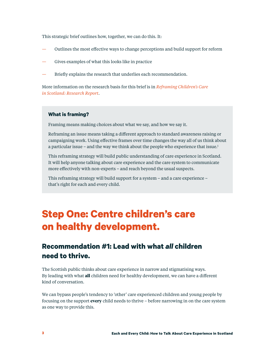<span id="page-2-0"></span>This strategic brief outlines how, together, we can do this. It:

- Outlines the most effective ways to change perceptions and build support for reform
- Gives examples of what this looks like in practice
- Briefly explains the research that underlies each recommendation.

More information on the research basis for this brief is in *[Reframing Children's Care](http://placeholder.com)  [in Scotland: Research Report](http://placeholder.com)*.

#### **What is framing?**

Framing means making choices about what we say, and how we say it.

Reframing an issue means taking a different approach to standard awareness raising or campaigning work. Using effective frames over time changes the way all of us think about a particular issue – and the way we think about the people who experience that issue. $<sup>1</sup>$ </sup>

This reframing strategy will build public understanding of care experience in Scotland. It will help anyone talking about care experience and the care system to communicate more effectively with non-experts – and reach beyond the usual suspects.

This reframing strategy will build support for a system – and a care experience – that's right for each and every child.

## **Step One: Centre children's care on healthy development.**

### **Recommendation #1: Lead with what** *all* **children need to thrive.**

The Scottish public thinks about care experience in narrow and stigmatising ways. By leading with what **all** children need for healthy development, we can have a different kind of conversation.

We can bypass people's tendency to 'other' care experienced children and young people by focusing on the support **every** child needs to thrive – before narrowing in on the care system as one way to provide this.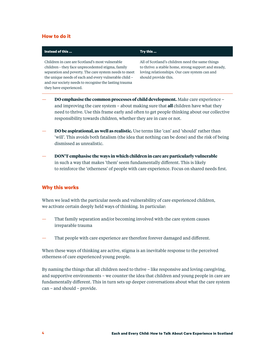#### **How to do it**

#### **Instead of this … Try this …** Children in care are Scotland's most vulnerable children– they face unprecedented stigma, family separation and poverty. The care system needs to meet the unique needs of each and every vulnerable child – and our society needs to recognise the lasting trauma they have experienced. All of Scotland's children need the same things to thrive: a stable home, strong support and steady, loving relationships. Our care system can and should provide this. — **DO emphasise the common processes of child development.** Make care experience – and improving the care system – about making sure that **all** children have what they need to thrive. Use this frame early and often to get people thinking about our collective

— **DO be aspirational, as well as realistic.** Use terms like 'can' and 'should' rather than 'will'. This avoids both fatalism (the idea that nothing can be done) and the risk of being dismissed as unrealistic.

responsibility towards children, whether they are in care or not.

— **DON'T emphasise the ways in which children in care are particularly vulnerable** in such a way that makes 'them' seem fundamentally different. This is likely to reinforce the 'otherness' of people with care experience. Focus on shared needs first.

#### **Why this works**

When we lead with the particular needs and vulnerability of care experienced children, we activate certain deeply held ways of thinking. In particular:

- That family separation and/or becoming involved with the care system causes irreparable trauma
- That people with care experience are therefore forever damaged and different.

When these ways of thinking are active, stigma is an inevitable response to the perceived otherness of care experienced young people.

By naming the things that all children need to thrive – like responsive and loving caregiving, and supportive environments – we counter the idea that children and young people in care are fundamentally different. This in turn sets up deeper conversations about what the care system can – and should – provide.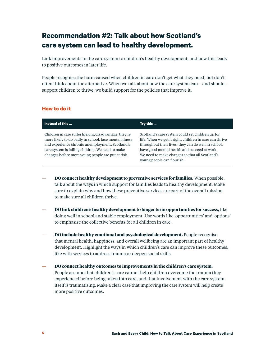## **Recommendation #2: Talk about how Scotland's care system can lead to healthy development.**

Link improvements in the care system to children's healthy development, and how this leads to positive outcomes in later life.

People recognise the harm caused when children in care don't get what they need, but don't often think about the alternative. When we talk about how the care system can – and should – support children to thrive, we build support for the policies that improve it.

#### **How to do it**

| Instead of this                                                                                                                                                                                                                                                              | Try this                                                                                                                                                                                                                                                                                           |
|------------------------------------------------------------------------------------------------------------------------------------------------------------------------------------------------------------------------------------------------------------------------------|----------------------------------------------------------------------------------------------------------------------------------------------------------------------------------------------------------------------------------------------------------------------------------------------------|
| Children in care suffer lifelong disadvantage: they're<br>more likely to do badly in school, face mental illness<br>and experience chronic unemployment. Scotland's<br>care system is failing children. We need to make<br>changes before more young people are put at risk. | Scotland's care system could set children up for<br>life. When we get it right, children in care can thrive<br>throughout their lives: they can do well in school,<br>have good mental health and succeed at work.<br>We need to make changes so that all Scotland's<br>young people can flourish. |

- **DO connect healthy development to preventive services for families.** When possible, talk about the ways in which support for families leads to healthy development. Make sure to explain why and how these preventive services are part of the overall mission to make sure all children thrive.
- **DO link children's healthy development to longer term opportunities for success,** like doing well in school and stable employment. Use words like 'opportunities' and 'options' to emphasise the collective benefits for all children in care.
- **DO include healthy emotional and psychological development.** People recognise that mental health, happiness, and overall wellbeing are an important part of healthy development. Highlight the ways in which children's care can improve these outcomes, like with services to address trauma or deepen social skills.
- **DO connect healthy outcomes to improvements in the children's care system.** People assume that children's care cannot help children overcome the trauma they experienced before being taken into care, and that involvement with the care system itself is traumatising. Make a clear case that improving the care system will help create more positive outcomes.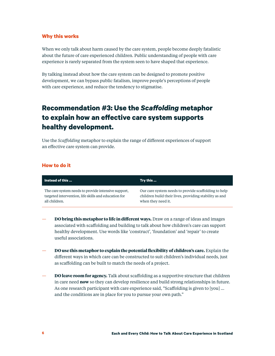When we only talk about harm caused by the care system, people become deeply fatalistic about the future of care experienced children. Public understanding of people with care experience is rarely separated from the system seen to have shaped that experience.

By talking instead about how the care system can be designed to promote positive development, we can bypass public fatalism, improve people's perceptions of people with care experience, and reduce the tendency to stigmatise.

## **Recommendation #3: Use the** *Scaffolding* **metaphor to explain how an effective care system supports healthy development.**

Use the *Scaffolding* metaphor to explain the range of different experiences of support an effective care system can provide.

#### **How to do it**

| Instead of this                                      | Try this                                               |
|------------------------------------------------------|--------------------------------------------------------|
| The care system needs to provide intensive support,  | Our care system needs to provide scaffolding to help   |
| targeted intervention, life skills and education for | children build their lives, providing stability as and |
| all children.                                        | when they need it.                                     |

- **DO bring this metaphor to life in different ways.** Draw on a range of ideas and images associated with scaffolding and building to talk about how children's care can support healthy development. Use words like 'construct', 'foundation' and 'repair' to create useful associations.
- **DO use this metaphor to explain the potential flexibility of children's care.** Explain the different ways in which care can be constructed to suit children's individual needs, just as scaffolding can be built to match the needs of a project.
- **DO leave room for agency.** Talk about scaffolding as a supportive structure that children in care need **now** so they can develop resilience and build strong relationships in future. As one research participant with care experience said, "Scaffolding is given to [you] … and the conditions are in place for you to pursue your own path."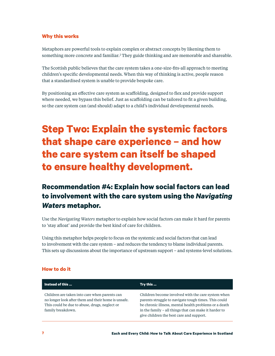<span id="page-6-0"></span>Metaphors are powerful tools to explain complex or abstract concepts by likening them to something more concrete and familiar.<sup>[2](#page-15-0)</sup> They guide thinking and are memorable and shareable.

The Scottish public believes that the care system takes a one-size-fits-all approach to meeting children's specific developmental needs. When this way of thinking is active, people reason that a standardised system is unable to provide bespoke care.

By positioning an effective care system as scaffolding, designed to flex and provide support where needed, we bypass this belief. Just as scaffolding can be tailored to fit a given building, so the care system can (and should) adapt to a child's individual developmental needs.

## **Step Two: Explain the systemic factors that shape care experience – and how the care system can itself be shaped to ensure healthy development.**

## **Recommendation #4: Explain how social factors can lead to involvement with the care system using the** *Navigating Waters* **metaphor.**

Use the *Navigating Waters* metaphor to explain how social factors can make it hard for parents to 'stay afloat' and provide the best kind of care for children.

Using this metaphor helps people to focus on the systemic and social factors that can lead to involvement with the care system – and reduces the tendency to blame individual parents. This sets up discussions about the importance of upstream support – and systems-level solutions.

| Instead of this                                                                                                                                                            | Try this                                                                                                                                                                                                                                                                 |
|----------------------------------------------------------------------------------------------------------------------------------------------------------------------------|--------------------------------------------------------------------------------------------------------------------------------------------------------------------------------------------------------------------------------------------------------------------------|
| Children are taken into care when parents can<br>no longer look after them and their home is unsafe.<br>This could be due to abuse, drugs, neglect or<br>family breakdown. | Children become involved with the care system when<br>parents struggle to navigate tough times. This could<br>be chronic illness, mental health problems or a death<br>in the family – all things that can make it harder to<br>give children the best care and support. |

#### **How to do it**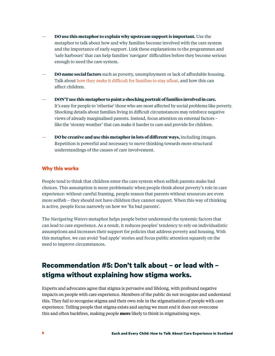- **DO use this metaphor to explain why upstream support is important.** Use the metaphor to talk about how and why families become involved with the care system and the importance of early support. Link these explanations to the programmes and 'safe harbours' that can help families 'navigate' difficulties before they become serious enough to need the care system.
- **DO name social factors** such as poverty, unemployment or lack of affordable housing. Talk about [how they make it difficult for families to stay afloat,](https://www.jrf.org.uk/report/how-build-lasting-support-solve-uk-poverty) and how this can affect children.
- **DON'T use this metaphor to paint a shocking portrait of families involved in care.** It's easy for people to 'otherise' those who are most affected by social problems like poverty. Shocking details about families living in difficult circumstances may reinforce negative views of already marginalised parents. Instead, focus attention on external factors – like the 'stormy weather' that can make it harder to care and provide for children.
- **DO be creative and use this metaphor in lots of different ways,** including images. Repetition is powerful and necessary to move thinking towards more structural understandings of the causes of care involvement.

People tend to think that children enter the care system when selfish parents make bad choices. This assumption is more problematic when people think about poverty's role in care experience: without careful framing, people reason that parents without resources are even more selfish – they should not have children they cannot support. When this way of thinking is active, people focus narrowly on how we 'fix bad parents'.

The *Navigating Waters* metaphor helps people better understand the systemic factors that can lead to care experience. As a result, it reduces peoples' tendency to rely on individualistic assumptions and increases their support for policies that address poverty and housing. With this metaphor, we can avoid 'bad apple' stories and focus public attention squarely on the need to improve circumstances.

## **Recommendation #5: Don't talk about – or lead with – stigma without explaining how stigma works.**

Experts and advocates agree that stigma is pervasive and lifelong, with profound negative impacts on people with care experience. Members of the public do not recognise and understand this. They fail to recognise stigma and their own role in the stigmatisation of people with care experience. Telling people that stigma exists and saying we must end it does not overcome this and often backfires, making people **more** likely to think in stigmatising ways.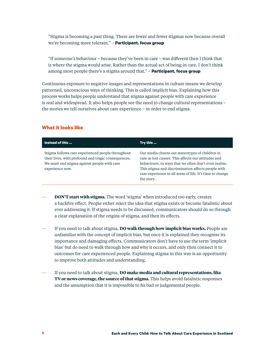"Stigma is becoming a past thing. There are fewer and fewer stigmas now because overall we're becoming more tolerant." – **Participant, focus group**

"If someone's behaviour – because they've been in care – was different then I think that is where the stigma would arise. Rather than the actual act of being in care. I don't think among most people there's a stigma around that." – **Participant, focus group**

Continuous exposure to negative images and representations in culture means we develop patterned, unconscious ways of thinking. This is called implicit bias. Explaining how this process works helps people understand that stigma against people with care experience is real and widespread. It also helps people see the need to change cultural representations – the stories we tell ourselves about care experience – in order to end stigma.

#### **What it looks like**

| Instead of this                                                                                                                                                             | Try this                                                                                                                                                                                                                                                                                         |
|-----------------------------------------------------------------------------------------------------------------------------------------------------------------------------|--------------------------------------------------------------------------------------------------------------------------------------------------------------------------------------------------------------------------------------------------------------------------------------------------|
| Stigma follows care experienced people throughout<br>their lives, with profound and tragic consequences.<br>We must end stigma against people with care.<br>experience now. | Our media churns out stereotypes of children in<br>care as lost causes. This affects our attitudes and<br>behaviours, in ways that we often don't even realise.<br>This stigma and discrimination affects people with<br>care experience in all areas of life. It's time to change<br>the story. |

- **DON'T start with stigma.** The word 'stigma' when introduced too early, creates a backfire effect. People either reject the idea that stigma exists or become fatalistic about ever addressing it. If stigma needs to be discussed, communicators should do so through a clear explanation of the origins of stigma, and then its effects.
- If you need to talk about stigma, **DO walk through how implicit bias works.** People are unfamiliar with the concept of implicit bias, but once it is explained they recognise its importance and damaging effects. Communicators don't have to use the term 'implicit bias' but do need to walk through how and why it occurs, and only then connect it to outcomes for care experienced people. Explaining stigma in this way is an opportunity to improve both attitudes and understanding.
- If you need to talk about stigma, **DO make media and cultural representations, like TV or news coverage, the source of that stigma.** This helps avoid fatalistic responses and the assumption that it is impossible to fix bad or judgemental people.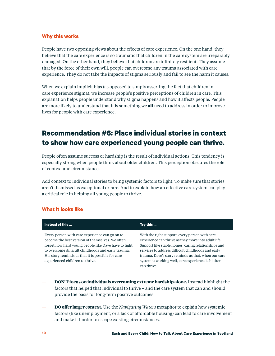People have two opposing views about the effects of care experience. On the one hand, they believe that the care experience is so traumatic that children in the care system are irreparably damaged. On the other hand, they believe that children are infinitely resilient. They assume that by the force of their own will, people can overcome any trauma associated with care experience. They do not take the impacts of stigma seriously and fail to see the harm it causes.

When we explain implicit bias (as opposed to simply asserting the fact that children in care experience stigma), we increase people's positive perceptions of children in care. This explanation helps people understand why stigma happens and how it affects people. People are more likely to understand that it is something we **all** need to address in order to improve lives for people with care experience.

## **Recommendation #6: Place individual stories in context to show how care experienced young people can thrive.**

People often assume success or hardship is the result of individual actions. This tendency is especially strong when people think about older children. This perception obscures the role of context and circumstance.

Add context to individual stories to bring systemic factors to light. To make sure that stories aren't dismissed as exceptional or rare. And to explain how an effective care system can play a critical role in helping all young people to thrive.

#### **What it looks like**

| Instead of this                                                                                                                                                                                                                                                                                         | Try this                                                                                                                                                                                                                                                                                                                                      |
|---------------------------------------------------------------------------------------------------------------------------------------------------------------------------------------------------------------------------------------------------------------------------------------------------------|-----------------------------------------------------------------------------------------------------------------------------------------------------------------------------------------------------------------------------------------------------------------------------------------------------------------------------------------------|
| Every person with care experience can go on to<br>become the best version of themselves. We often<br>forget how hard young people like Dave have to fight<br>to overcome difficult childhoods and early trauma.<br>His story reminds us that it is possible for care<br>experienced children to thrive. | With the right support, every person with care<br>experience can thrive as they move into adult life.<br>Support like stable homes, caring relationships and<br>services to address difficult childhoods and early<br>trauma. Dave's story reminds us that, when our care<br>system is working well, care experienced children<br>can thrive. |

- **DON'T focus on individuals overcoming extreme hardship alone.** Instead highlight the factors that helped that individual to thrive – and the care system that can and should provide the basis for long-term positive outcomes.
- **DO offer larger context.** Use the *Navigating Waters* metaphor to explain how systemic factors (like unemployment, or a lack of affordable housing) can lead to care involvement and make it harder to escape existing circumstances.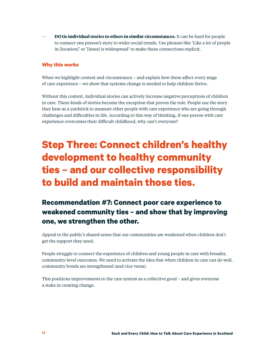— **DO tie individual stories to others in similar circumstances.** It can be hard for people to connect one person's story to wider social trends. Use phrases like 'Like a lot of people in [location]' or '[Issue] is widespread' to make these connections explicit.

#### **Why this works**

When we highlight context and circumstance – and explain how these affect every stage of care experience – we show that systems change is needed to help children thrive.

Without this context, individual stories can actively increase negative perceptions of children in care. These kinds of stories become the exception that proves the rule. People use the story they hear as a yardstick to measure other people with care experience who are going through challenges and difficulties in life. According to this way of thinking, if one person with care experience overcomes their difficult childhood, why can't everyone?

## **Step Three: Connect children's healthy development to healthy community ties – and our collective responsibility to build and maintain those ties.**

## **Recommendation #7: Connect poor care experience to weakened community ties – and show that by improving one, we strengthen the other.**

Appeal to the public's shared sense that our communities are weakened when children don't get the support they need.

People struggle to connect the experience of children and young people in care with broader, community-level outcomes. We need to activate the idea that when children in care can do well, community bonds are strengthened (and vice versa).

This positions improvements to the care system as a collective good – and gives everyone a stake in creating change.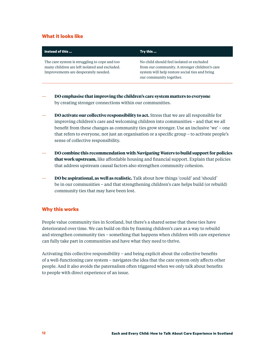#### **What it looks like**

| Instead of this                                                                                                                        | Try this                                                                                                                                                                 |
|----------------------------------------------------------------------------------------------------------------------------------------|--------------------------------------------------------------------------------------------------------------------------------------------------------------------------|
| The care system is struggling to cope and too<br>many children are left isolated and excluded.<br>Improvements are desperately needed. | No child should feel isolated or excluded<br>from our community. A stronger children's care<br>system will help restore social ties and bring<br>our community together. |
|                                                                                                                                        |                                                                                                                                                                          |

- **DO emphasise that improving the children's care system matters to everyone** by creating stronger connections within our communities.
- **DO activate our collective responsibility to act.** Stress that we are all responsible for improving children's care and welcoming children into communities – and that we all benefit from these changes as community ties grow stronger. Use an inclusive 'we' – one that refers to everyone, not just an organisation or a specific group – to activate people's sense of collective responsibility.
- **DO combine this recommendation with** *Navigating Waters* **to build support for policies that work upstream,** like affordable housing and financial support. Explain that policies that address upstream causal factors also strengthen community cohesion.
- **DO be aspirational, as well as realistic.** Talk about how things 'could' and 'should' be in our communities – and that strengthening children's care helps build (or rebuild) community ties that may have been lost.

#### **Why this works**

People value community ties in Scotland, but there's a shared sense that these ties have deteriorated over time. We can build on this by framing children's care as a way to rebuild and strengthen community ties – something that happens when children with care experience can fully take part in communities and have what they need to thrive.

Activating this collective responsibility – and being explicit about the collective benefits of a well-functioning care system – navigates the idea that the care system only affects other people. And it also avoids the paternalism often triggered when we only talk about benefits to people with direct experience of an issue.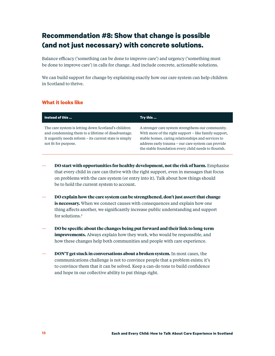## <span id="page-12-0"></span>**Recommendation #8: Show that change is possible (and not just necessary) with concrete solutions.**

Balance efficacy ('something can be done to improve care') and urgency ('something must be done to improve care') in calls for change. And include concrete, actionable solutions.

We can build support for change by explaining exactly how our care system can help children in Scotland to thrive.

#### **What it looks like**

| Instead of this                                                                                                                                                                             | Try this                                                                                                                                                                                                                                                                       |
|---------------------------------------------------------------------------------------------------------------------------------------------------------------------------------------------|--------------------------------------------------------------------------------------------------------------------------------------------------------------------------------------------------------------------------------------------------------------------------------|
| The care system is letting down Scotland's children<br>and condemning them to a lifetime of disadvantage.<br>It urgently needs reform - its current state is simply<br>not fit for purpose. | A stronger care system strengthens our community.<br>With more of the right support – like family support,<br>stable homes, caring relationships and services to<br>address early trauma – our care system can provide<br>the stable foundation every child needs to flourish. |

- **DO start with opportunities for healthy development, not the risk of harm.** Emphasise that every child in care can thrive with the right support, even in messages that focus on problems with the care system (or entry into it). Talk about how things should be to hold the current system to account.
- **DO explain how the care system can be strengthened, don't just assert that change is necessary.** When we connect causes with consequences and explain how one thing affects another, we significantly increase public understanding and support for solutions[.3](#page-15-0)
- **DO be specific about the changes being put forward and their link to long-term improvements.** Always explain how they work, who would be responsible, and how these changes help both communities and people with care experience.
- **DON'T get stuck in conversations about a broken system.** In most cases, the communications challenge is not to convince people that a problem exists; it's to convince them that it can be solved. Keep a can-do tone to build confidence and hope in our collective ability to put things right.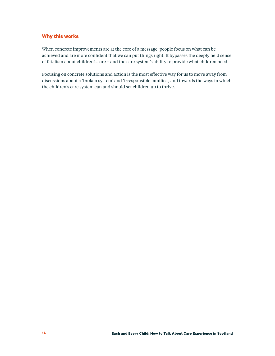When concrete improvements are at the core of a message, people focus on what can be achieved and are more confident that we can put things right. It bypasses the deeply held sense of fatalism about children's care – and the care system's ability to provide what children need.

Focusing on concrete solutions and action is the most effective way for us to move away from discussions about a 'broken system' and 'irresponsible families', and towards the ways in which the children's care system can and should set children up to thrive.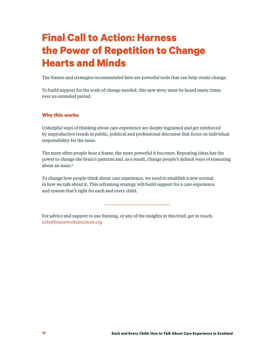## <span id="page-14-0"></span>**Final Call to Action: Harness the Power of Repetition to Change Hearts and Minds**

The frames and strategies recommended here are powerful tools that can help create change.

To build support for the scale of change needed, this new story must be heard many times over an extended period.

#### **Why this works**

Unhelpful ways of thinking about care experience are deeply ingrained and get reinforced by unproductive trends in public, political and professional discourse that focus on individual responsibility for the issue.

The more often people hear a frame, the more powerful it becomes. Repeating ideas has the power to change the brain's patterns and, as a result, change people's default ways of reasoning about an issue[.4](#page-15-0)

To change how people think about care experience, we need to establish a new normal in how we talk about it. This reframing strategy will build support for a care experience and system that's right for each and every child.

For advice and support to use framing, or any of the insights in this brief, get in touch: [info@frameworksinstitute.org](mailto:info%40frameworksinstitute.org?subject=Contact%20from%20Each%20and%20Every%20Child%20report)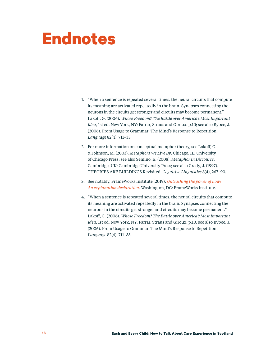# <span id="page-15-0"></span>**Endnotes**

- 1. ["W](#page-2-0)hen a sentence is repeated several times, the neural circuits that compute its meaning are activated repeatedly in the brain. Synapses connecting the neurons in the circuits get stronger and circuits may become permanent." Lakoff, G. (2006). *Whose Freedom? The Battle over America's Most Important Idea*, 1st ed. New York, NY: Farrar, Straus and Giroux. p.10; see also Bybee, J. (2006). From Usage to Grammar: The Mind's Response to Repetition. *Language* 82(4), 711–33.
- 2. [Fo](#page-6-0)r more information on conceptual metaphor theory, see Lakoff, G. & Johnson, M. (2003). *Metaphors We Live By*. Chicago, IL: University of Chicago Press; see also Semino, E. (2008). *Metaphor in Discourse*. Cambridge, UK: Cambridge University Press; see also Grady, J. (1997). THEORIES ARE BUILDINGS Revisited. *Cognitive Linguistics* 8(4), 267–90.
- 3. [S](#page-12-0)ee notably, FrameWorks Institute (2019). *[Unleashing the power of how:](http://frameworksinstitute.org/assets/files/unleashingthepowerofhow-anexplanationdeclaration.pdf)  [An explanation declaration](http://frameworksinstitute.org/assets/files/unleashingthepowerofhow-anexplanationdeclaration.pdf)*. Washington, DC: FrameWorks Institute.
- 4. ["W](#page-14-0)hen a sentence is repeated several times, the neural circuits that compute its meaning are activated repeatedly in the brain. Synapses connecting the neurons in the circuits get stronger and circuits may become permanent." Lakoff, G. (2006). *Whose Freedom? The Battle over America's Most Important Idea*, 1st ed. New York, NY: Farrar, Straus and Giroux. p.10; see also Bybee, J. (2006). From Usage to Grammar: The Mind's Response to Repetition. *Language* 82(4), 711–33.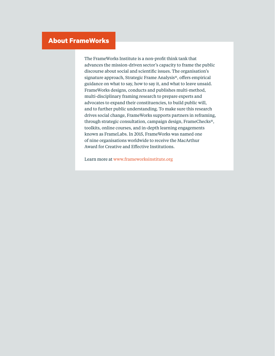### **About FrameWorks**

The FrameWorks Institute is a non-profit think tank that advances the mission-driven sector's capacity to frame the public discourse about social and scientific issues. The organisation's signature approach, Strategic Frame Analysis®, offers empirical guidance on what to say, how to say it, and what to leave unsaid. FrameWorks designs, conducts and publishes multi-method, multi-disciplinary framing research to prepare experts and advocates to expand their constituencies, to build public will, and to further public understanding. To make sure this research drives social change, FrameWorks supports partners in reframing, through strategic consultation, campaign design, FrameChecks®, toolkits, online courses, and in-depth learning engagements known as FrameLabs. In 2015, FrameWorks was named one of nine organisations worldwide to receive the MacArthur Award for Creative and Effective Institutions.

Learn more at [www.frameworksinstitute.org](http://www.frameworksinstitute.org)